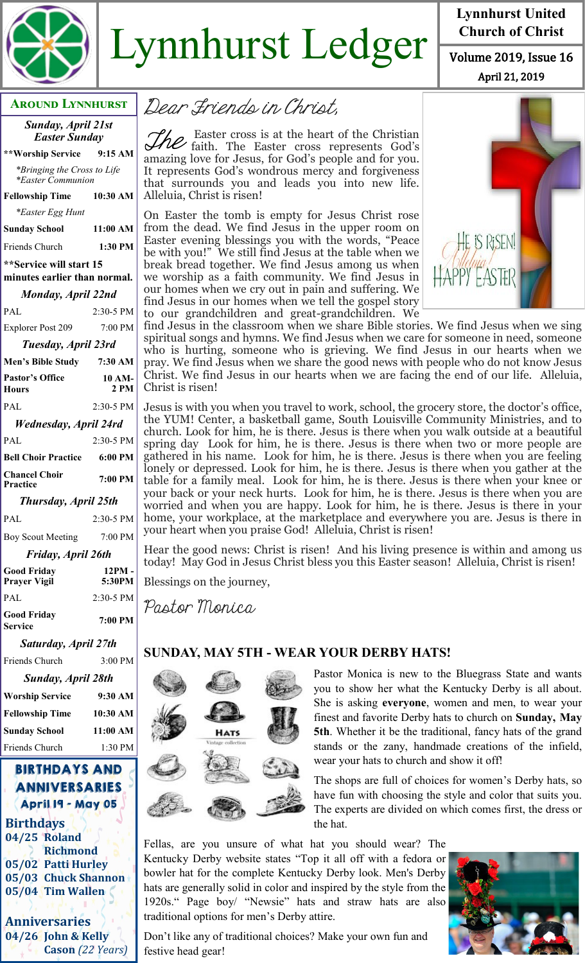

# $Lynnhurst$  Ledger  $\frac{Church of Christ}{Volume 2019, Issue 16}$

#### **Around Lynnhurst**

*Sunday, April 21st Easter Sunday*

**\*\*Worship Service 9:15 AM** *\*Bringing the Cross to Life* *\*Easter Communion*  **Fellowship Time 10:30 AM** *\*Easter Egg Hunt*  **Sunday School 11:00 AM** Friends Church **1:30 PM \*\*Service will start 15 minutes earlier than normal.**  *Monday, April 22nd* PAL 2:30-5 PM Explorer Post 209 7:00 PM *Tuesday, April 23rd* **Men's Bible Study 7:30 AM Pastor's Office Hours 10 AM-2 PM** PAL 2:30-5 PM

## *Wednesday, April 24rd* PAL 2:30-5 PM **Bell Choir Practice 6:00 PM Chancel Choir Practice 7:00 PM**

*Thursday, April 25th*

PAL 2:30-5 PM Boy Scout Meeting 7:00 PM

*Friday, April 26th*

| <b>Good Friday</b><br><b>Prayer Vigil</b> | 12PM -<br>5:30PM |
|-------------------------------------------|------------------|
| PAL                                       | 2:30-5 PM        |
| Good Fridav<br><b>Service</b>             | 7:00 PM          |
| Saturday, April 27th                      |                  |

Friends Church 3:00 PM

| Sunday, April 28th     |           |
|------------------------|-----------|
| <b>Worship Service</b> | $9:30$ AM |
| <b>Fellowship Time</b> | 10:30 AM  |
| <b>Sunday School</b>   | 11:00 AM  |
| Friends Church         | $1:30$ PM |

### BIRTHDAYS AND ANNIVERSARIES April 19 - May 05

**Birthdays 04/25 Roland Richmond 05/02 Patti Hurley 05/03 Chuck Shannon 05/04 Tim Wallen**

**Anniversaries 04/26 John & Kelly Cason** *(22 Years)*

Dear Friends in Christ,

The Easter cross is at the heart of the Christian<br>The faith. The Easter cross represents God's Easter cross is at the heart of the Christian amazing love for Jesus, for God's people and for you. It represents God's wondrous mercy and forgiveness that surrounds you and leads you into new life. Alleluia, Christ is risen!

On Easter the tomb is empty for Jesus Christ rose from the dead. We find Jesus in the upper room on Easter evening blessings you with the words, "Peace be with you!" We still find Jesus at the table when we break bread together. We find Jesus among us when we worship as a faith community. We find Jesus in our homes when we cry out in pain and suffering. We find Jesus in our homes when we tell the gospel story to our grandchildren and great-grandchildren. We



April 21, 2019

**Lynnhurst United Church of Christ**

find Jesus in the classroom when we share Bible stories. We find Jesus when we sing spiritual songs and hymns. We find Jesus when we care for someone in need, someone who is hurting, someone who is grieving. We find Jesus in our hearts when we pray. We find Jesus when we share the good news with people who do not know Jesus Christ. We find Jesus in our hearts when we are facing the end of our life. Alleluia, Christ is risen!

Jesus is with you when you travel to work, school, the grocery store, the doctor's office, the YUM! Center, a basketball game, South Louisville Community Ministries, and to church. Look for him, he is there. Jesus is there when you walk outside at a beautiful spring day Look for him, he is there. Jesus is there when two or more people are gathered in his name. Look for him, he is there. Jesus is there when you are feeling lonely or depressed. Look for him, he is there. Jesus is there when you gather at the table for a family meal. Look for him, he is there. Jesus is there when your knee or your back or your neck hurts. Look for him, he is there. Jesus is there when you are worried and when you are happy. Look for him, he is there. Jesus is there in your home, your workplace, at the marketplace and everywhere you are. Jesus is there in your heart when you praise God! Alleluia, Christ is risen!

Hear the good news: Christ is risen! And his living presence is within and among us today! May God in Jesus Christ bless you this Easter season! Alleluia, Christ is risen!

Blessings on the journey,

Pastor Monica

# **SUNDAY, MAY 5TH - WEAR YOUR DERBY HATS!**



Pastor Monica is new to the Bluegrass State and wants you to show her what the Kentucky Derby is all about. She is asking **everyone**, women and men, to wear your finest and favorite Derby hats to church on **Sunday, May 5th**. Whether it be the traditional, fancy hats of the grand stands or the zany, handmade creations of the infield, wear your hats to church and show it off!

The shops are full of choices for women's Derby hats, so have fun with choosing the style and color that suits you. The experts are divided on which comes first, the dress or the hat.

Fellas, are you unsure of what hat you should wear? The Kentucky Derby website states "Top it all off with a fedora or bowler hat for the complete Kentucky Derby look. Men's Derby hats are generally solid in color and inspired by the style from the 1920s." Page boy/ "Newsie" hats and straw hats are also traditional options for men's Derby attire.



Don't like any of traditional choices? Make your own fun and festive head gear!